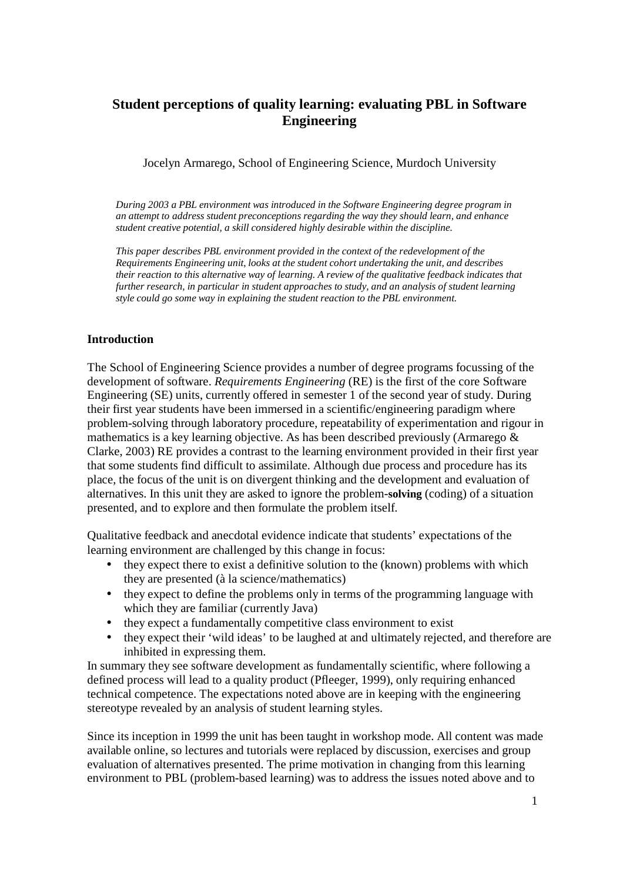# **Student perceptions of quality learning: evaluating PBL in Software Engineering**

Jocelyn Armarego, School of Engineering Science, Murdoch University

*During 2003 a PBL environment was introduced in the Software Engineering degree program in an attempt to address student preconceptions regarding the way they should learn, and enhance student creative potential, a skill considered highly desirable within the discipline.* 

*This paper describes PBL environment provided in the context of the redevelopment of the Requirements Engineering unit*, *looks at the student cohort undertaking the unit, and describes their reaction to this alternative way of learning. A review of the qualitative feedback indicates that further research, in particular in student approaches to study, and an analysis of student learning style could go some way in explaining the student reaction to the PBL environment.*

# **Introduction**

The School of Engineering Science provides a number of degree programs focussing of the development of software. *Requirements Engineering* (RE) is the first of the core Software Engineering (SE) units, currently offered in semester 1 of the second year of study. During their first year students have been immersed in a scientific/engineering paradigm where problem-solving through laboratory procedure, repeatability of experimentation and rigour in mathematics is a key learning objective. As has been described previously (Armarego  $\&$ Clarke, 2003) RE provides a contrast to the learning environment provided in their first year that some students find difficult to assimilate. Although due process and procedure has its place, the focus of the unit is on divergent thinking and the development and evaluation of alternatives. In this unit they are asked to ignore the problem-**solving** (coding) of a situation presented, and to explore and then formulate the problem itself.

Qualitative feedback and anecdotal evidence indicate that students' expectations of the learning environment are challenged by this change in focus:

- they expect there to exist a definitive solution to the (known) problems with which they are presented (à la science/mathematics)
- they expect to define the problems only in terms of the programming language with which they are familiar (currently Java)
- they expect a fundamentally competitive class environment to exist
- they expect their 'wild ideas' to be laughed at and ultimately rejected, and therefore are inhibited in expressing them.

In summary they see software development as fundamentally scientific, where following a defined process will lead to a quality product (Pfleeger, 1999), only requiring enhanced technical competence. The expectations noted above are in keeping with the engineering stereotype revealed by an analysis of student learning styles.

Since its inception in 1999 the unit has been taught in workshop mode. All content was made available online, so lectures and tutorials were replaced by discussion, exercises and group evaluation of alternatives presented. The prime motivation in changing from this learning environment to PBL (problem-based learning) was to address the issues noted above and to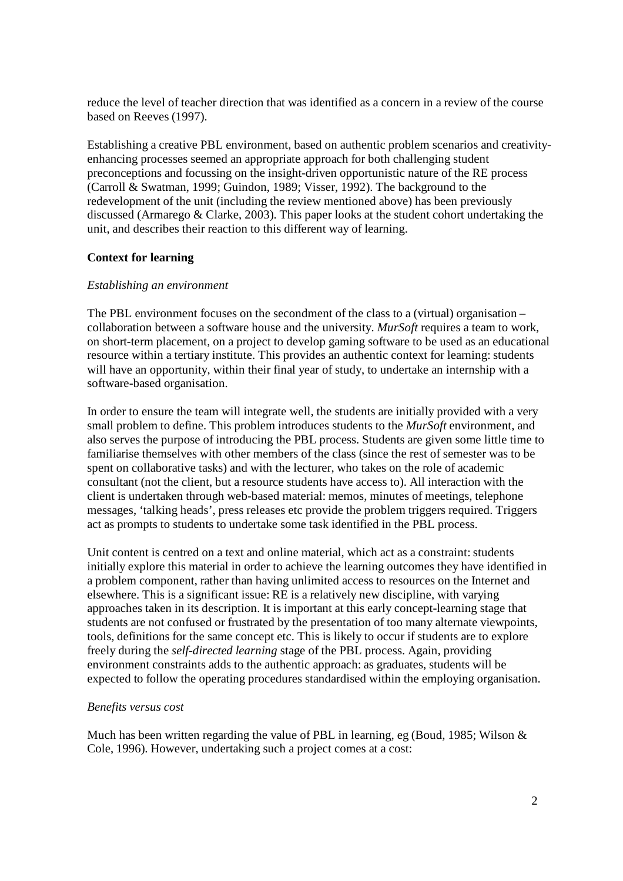reduce the level of teacher direction that was identified as a concern in a review of the course based on Reeves (1997).

Establishing a creative PBL environment, based on authentic problem scenarios and creativityenhancing processes seemed an appropriate approach for both challenging student preconceptions and focussing on the insight-driven opportunistic nature of the RE process (Carroll & Swatman, 1999; Guindon, 1989; Visser, 1992). The background to the redevelopment of the unit (including the review mentioned above) has been previously discussed (Armarego & Clarke, 2003). This paper looks at the student cohort undertaking the unit, and describes their reaction to this different way of learning.

# **Context for learning**

# *Establishing an environment*

The PBL environment focuses on the secondment of the class to a (virtual) organisation – collaboration between a software house and the university. *MurSoft* requires a team to work, on short-term placement, on a project to develop gaming software to be used as an educational resource within a tertiary institute. This provides an authentic context for learning: students will have an opportunity, within their final year of study, to undertake an internship with a software-based organisation.

In order to ensure the team will integrate well, the students are initially provided with a very small problem to define. This problem introduces students to the *MurSoft* environment, and also serves the purpose of introducing the PBL process. Students are given some little time to familiarise themselves with other members of the class (since the rest of semester was to be spent on collaborative tasks) and with the lecturer, who takes on the role of academic consultant (not the client, but a resource students have access to). All interaction with the client is undertaken through web-based material: memos, minutes of meetings, telephone messages, 'talking heads', press releases etc provide the problem triggers required. Triggers act as prompts to students to undertake some task identified in the PBL process.

Unit content is centred on a text and online material, which act as a constraint: students initially explore this material in order to achieve the learning outcomes they have identified in a problem component, rather than having unlimited access to resources on the Internet and elsewhere. This is a significant issue: RE is a relatively new discipline, with varying approaches taken in its description. It is important at this early concept-learning stage that students are not confused or frustrated by the presentation of too many alternate viewpoints, tools, definitions for the same concept etc. This is likely to occur if students are to explore freely during the *self-directed learning* stage of the PBL process. Again, providing environment constraints adds to the authentic approach: as graduates, students will be expected to follow the operating procedures standardised within the employing organisation.

#### *Benefits versus cost*

Much has been written regarding the value of PBL in learning, eg (Boud, 1985; Wilson  $\&$ Cole, 1996). However, undertaking such a project comes at a cost: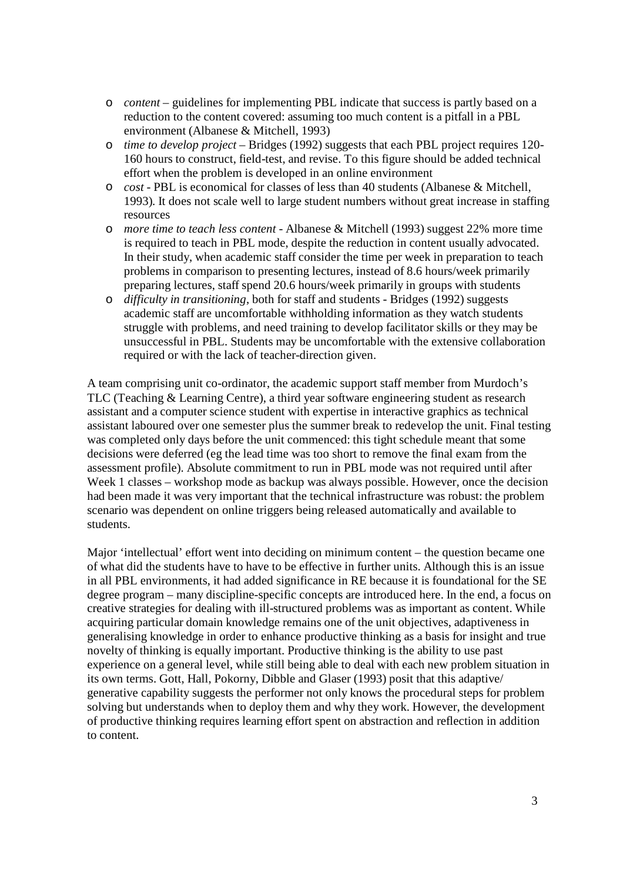- o *content* guidelines for implementing PBL indicate that success is partly based on a reduction to the content covered: assuming too much content is a pitfall in a PBL environment (Albanese & Mitchell, 1993)
- o *time to develop project* Bridges (1992) suggests that each PBL project requires 120- 160 hours to construct, field-test, and revise. To this figure should be added technical effort when the problem is developed in an online environment
- o *cost* PBL is economical for classes of less than 40 students (Albanese & Mitchell, 1993). It does not scale well to large student numbers without great increase in staffing resources
- o *more time to teach less content* Albanese & Mitchell (1993) suggest 22% more time is required to teach in PBL mode, despite the reduction in content usually advocated. In their study, when academic staff consider the time per week in preparation to teach problems in comparison to presenting lectures, instead of 8.6 hours/week primarily preparing lectures, staff spend 20.6 hours/week primarily in groups with students
- o *difficulty in transitioning*, both for staff and students Bridges (1992) suggests academic staff are uncomfortable withholding information as they watch students struggle with problems, and need training to develop facilitator skills or they may be unsuccessful in PBL. Students may be uncomfortable with the extensive collaboration required or with the lack of teacher-direction given.

A team comprising unit co-ordinator, the academic support staff member from Murdoch's TLC (Teaching & Learning Centre), a third year software engineering student as research assistant and a computer science student with expertise in interactive graphics as technical assistant laboured over one semester plus the summer break to redevelop the unit. Final testing was completed only days before the unit commenced: this tight schedule meant that some decisions were deferred (eg the lead time was too short to remove the final exam from the assessment profile). Absolute commitment to run in PBL mode was not required until after Week 1 classes – workshop mode as backup was always possible. However, once the decision had been made it was very important that the technical infrastructure was robust: the problem scenario was dependent on online triggers being released automatically and available to students.

Major 'intellectual' effort went into deciding on minimum content – the question became one of what did the students have to have to be effective in further units. Although this is an issue in all PBL environments, it had added significance in RE because it is foundational for the SE degree program – many discipline-specific concepts are introduced here. In the end, a focus on creative strategies for dealing with ill-structured problems was as important as content. While acquiring particular domain knowledge remains one of the unit objectives, adaptiveness in generalising knowledge in order to enhance productive thinking as a basis for insight and true novelty of thinking is equally important. Productive thinking is the ability to use past experience on a general level, while still being able to deal with each new problem situation in its own terms. Gott, Hall, Pokorny, Dibble and Glaser (1993) posit that this adaptive/ generative capability suggests the performer not only knows the procedural steps for problem solving but understands when to deploy them and why they work. However, the development of productive thinking requires learning effort spent on abstraction and reflection in addition to content.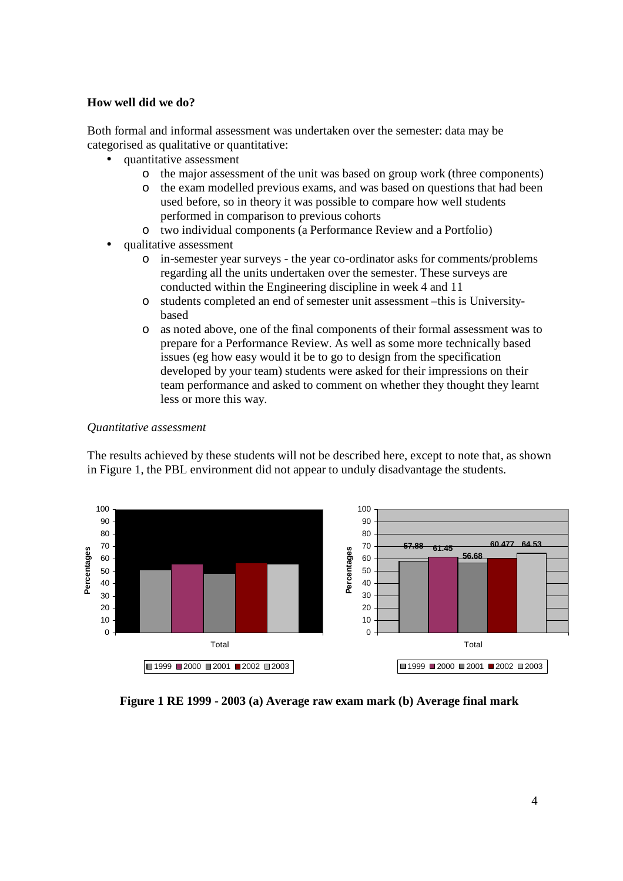#### **How well did we do?**

Both formal and informal assessment was undertaken over the semester: data may be categorised as qualitative or quantitative:

- quantitative assessment
	- o the major assessment of the unit was based on group work (three components)
	- o the exam modelled previous exams, and was based on questions that had been used before, so in theory it was possible to compare how well students performed in comparison to previous cohorts
	- o two individual components (a Performance Review and a Portfolio)
- qualitative assessment
	- o in-semester year surveys the year co-ordinator asks for comments/problems regarding all the units undertaken over the semester. These surveys are conducted within the Engineering discipline in week 4 and 11
	- o students completed an end of semester unit assessment –this is Universitybased
	- o as noted above, one of the final components of their formal assessment was to prepare for a Performance Review. As well as some more technically based issues (eg how easy would it be to go to design from the specification developed by your team) students were asked for their impressions on their team performance and asked to comment on whether they thought they learnt less or more this way.

#### *Quantitative assessment*

The results achieved by these students will not be described here, except to note that, as shown in Figure 1, the PBL environment did not appear to unduly disadvantage the students.



**Figure 1 RE 1999 - 2003 (a) Average raw exam mark (b) Average final mark**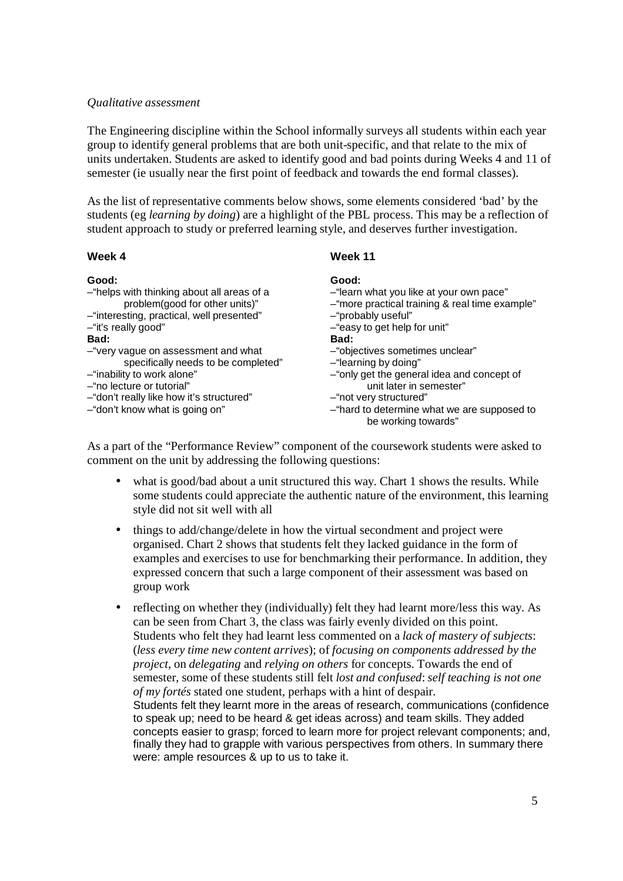### *Qualitative assessment*

The Engineering discipline within the School informally surveys all students within each year group to identify general problems that are both unit-specific, and that relate to the mix of units undertaken. Students are asked to identify good and bad points during Weeks 4 and 11 of semester (ie usually near the first point of feedback and towards the end formal classes).

As the list of representative comments below shows, some elements considered 'bad' by the students (eg *learning by doing*) are a highlight of the PBL process. This may be a reflection of student approach to study or preferred learning style, and deserves further investigation.

#### **Week 4**

#### **Week 11**

| Good:<br>-"helps with thinking about all areas of a<br>problem(good for other units)"<br>-"interesting, practical, well presented"<br>-"it's really good"<br>Bad:<br>-"very vague on assessment and what<br>specifically needs to be completed"<br>-"inability to work alone"<br>-"no lecture or tutorial" | Good:<br>-"learn what you like at your own pace"<br>-"more practical training & real time example"<br>-"probably useful"<br>-"easy to get help for unit"<br>Bad:<br>-"objectives sometimes unclear"<br>-"learning by doing"<br>-"only get the general idea and concept of<br>unit later in semester" |
|------------------------------------------------------------------------------------------------------------------------------------------------------------------------------------------------------------------------------------------------------------------------------------------------------------|------------------------------------------------------------------------------------------------------------------------------------------------------------------------------------------------------------------------------------------------------------------------------------------------------|
|                                                                                                                                                                                                                                                                                                            |                                                                                                                                                                                                                                                                                                      |
| -"don't really like how it's structured"                                                                                                                                                                                                                                                                   | -"not very structured"                                                                                                                                                                                                                                                                               |
| -"don't know what is going on"                                                                                                                                                                                                                                                                             | -"hard to determine what we are supposed to<br>be working towards"                                                                                                                                                                                                                                   |

As a part of the "Performance Review" component of the coursework students were asked to comment on the unit by addressing the following questions:

- what is good/bad about a unit structured this way. Chart 1 shows the results. While some students could appreciate the authentic nature of the environment, this learning style did not sit well with all
- things to add/change/delete in how the virtual secondment and project were organised. Chart 2 shows that students felt they lacked guidance in the form of examples and exercises to use for benchmarking their performance. In addition, they expressed concern that such a large component of their assessment was based on group work
- reflecting on whether they (individually) felt they had learnt more/less this way. As can be seen from Chart 3, the class was fairly evenly divided on this point. Students who felt they had learnt less commented on a *lack of mastery of subjects*: (*less every time new content arrives*); of *focusing on components addressed by the project*, on *delegating* and *relying on others* for concepts. Towards the end of semester, some of these students still felt *lost and confused*: *self teaching is not one of my fortés* stated one student, perhaps with a hint of despair. Students felt they learnt more in the areas of research, communications (confidence to speak up; need to be heard & get ideas across) and team skills. They added concepts easier to grasp; forced to learn more for project relevant components; and, finally they had to grapple with various perspectives from others. In summary there were: ample resources & up to us to take it.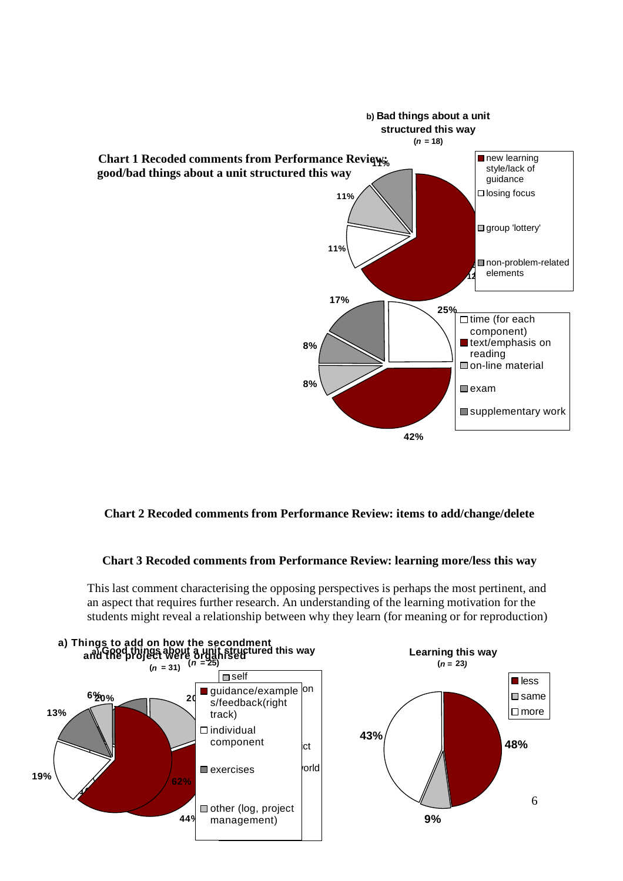

# **Chart 2 Recoded comments from Performance Review: items to add/change/delete**

# **Chart 3 Recoded comments from Performance Review: learning more/less this way**

This last comment characterising the opposing perspectives is perhaps the most pertinent, and an aspect that requires further research. An understanding of the learning motivation for the students might reveal a relationship between why they learn (for meaning or for reproduction)

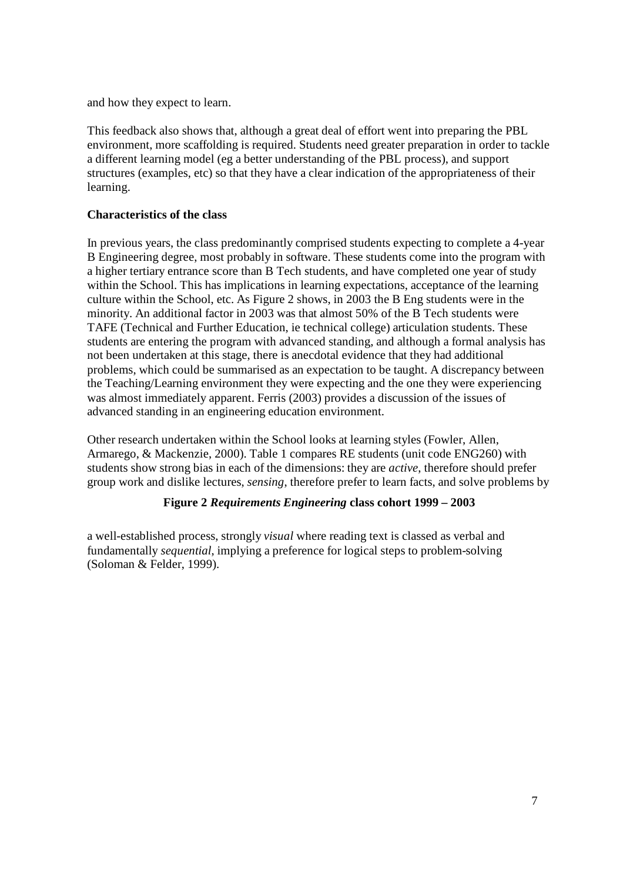and how they expect to learn.

This feedback also shows that, although a great deal of effort went into preparing the PBL environment, more scaffolding is required. Students need greater preparation in order to tackle a different learning model (eg a better understanding of the PBL process), and support structures (examples, etc) so that they have a clear indication of the appropriateness of their learning.

# **Characteristics of the class**

In previous years, the class predominantly comprised students expecting to complete a 4-year B Engineering degree, most probably in software. These students come into the program with a higher tertiary entrance score than B Tech students, and have completed one year of study within the School. This has implications in learning expectations, acceptance of the learning culture within the School, etc. As Figure 2 shows, in 2003 the B Eng students were in the minority. An additional factor in 2003 was that almost 50% of the B Tech students were TAFE (Technical and Further Education, ie technical college) articulation students. These students are entering the program with advanced standing, and although a formal analysis has not been undertaken at this stage, there is anecdotal evidence that they had additional problems, which could be summarised as an expectation to be taught. A discrepancy between the Teaching/Learning environment they were expecting and the one they were experiencing was almost immediately apparent. Ferris (2003) provides a discussion of the issues of advanced standing in an engineering education environment.

Other research undertaken within the School looks at learning styles (Fowler, Allen, Armarego, & Mackenzie, 2000). Table 1 compares RE students (unit code ENG260) with students show strong bias in each of the dimensions: they are *active*, therefore should prefer group work and dislike lectures, *sensing*, therefore prefer to learn facts, and solve problems by

# **Figure 2** *Requirements Engineering* **class cohort 1999 – 2003**

a well-established process, strongly *visual* where reading text is classed as verbal and fundamentally *sequential*, implying a preference for logical steps to problem-solving (Soloman & Felder, 1999).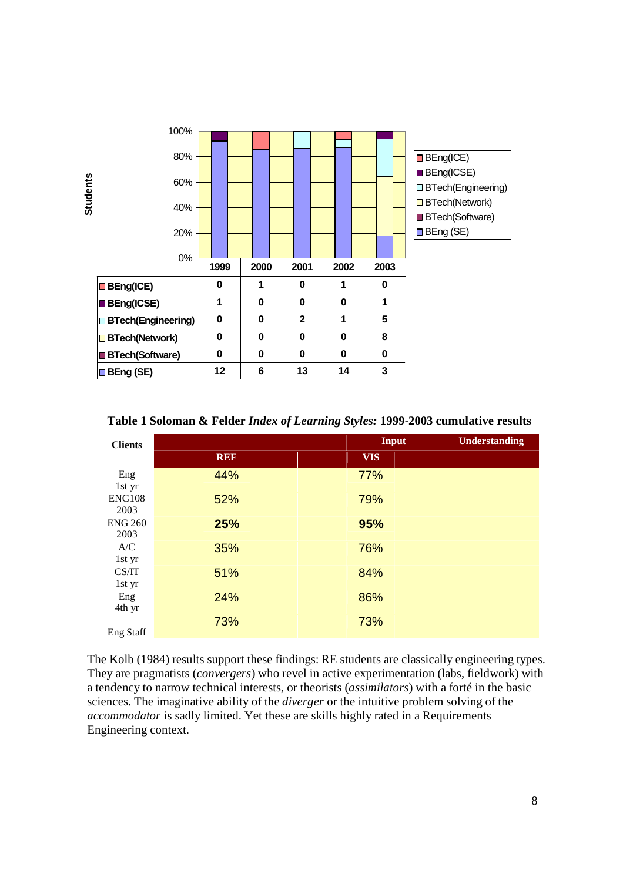

**Table 1 Soloman & Felder** *Index of Learning Styles:* **1999-2003 cumulative results**

| <b>Clients</b>   |            | <b>Input</b> | <b>Understanding</b> |
|------------------|------------|--------------|----------------------|
|                  | <b>REF</b> | <b>VIS</b>   |                      |
| Eng              | 44%        | 77%          |                      |
| 1st yr           |            |              |                      |
| <b>ENG108</b>    | 52%        | 79%          |                      |
| 2003             |            |              |                      |
| <b>ENG 260</b>   | 25%        | 95%          |                      |
| 2003             |            |              |                      |
| A/C              | 35%        | 76%          |                      |
| 1st yr           |            |              |                      |
| CS/IT            | 51%        | 84%          |                      |
| 1st yr           |            |              |                      |
| Eng              | 24%        | 86%          |                      |
| 4th yr           |            |              |                      |
|                  | 73%        | 73%          |                      |
| <b>Eng Staff</b> |            |              |                      |

The Kolb (1984) results support these findings: RE students are classically engineering types. They are pragmatists (*convergers*) who revel in active experimentation (labs, fieldwork) with a tendency to narrow technical interests, or theorists (*assimilators*) with a forté in the basic sciences. The imaginative ability of the *diverger* or the intuitive problem solving of the *accommodator* is sadly limited. Yet these are skills highly rated in a Requirements Engineering context.

8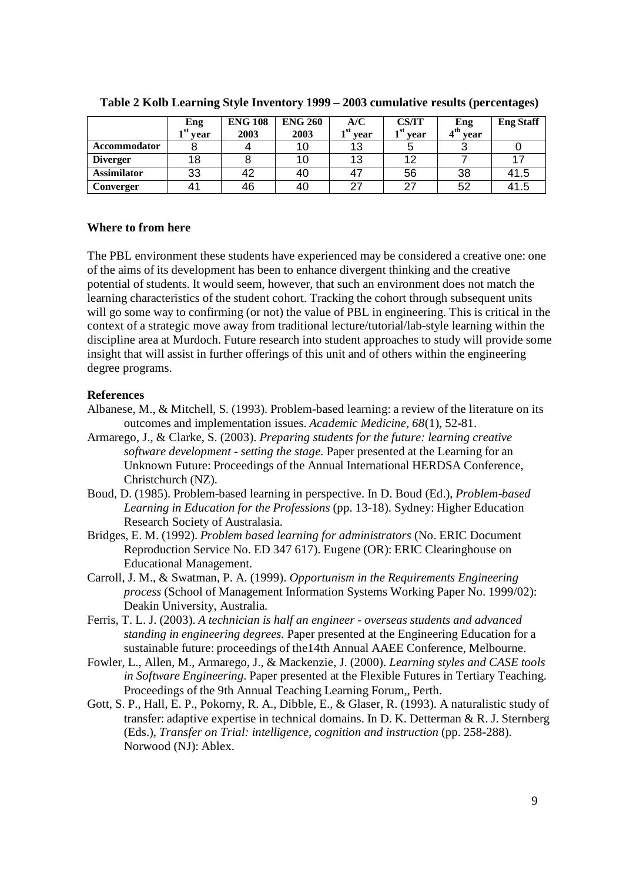|                     | Eng                               | <b>ENG 108</b> | <b>ENG 260</b> | A/C         | <b>CS/IT</b>                  | Eng        | <b>Eng Staff</b> |
|---------------------|-----------------------------------|----------------|----------------|-------------|-------------------------------|------------|------------------|
|                     | $\overline{ }$ <sup>st</sup> year | 2003           | 2003           | ⊣st<br>vear | $\mathbf{r}^{\text{st}}$ vear | $4th$ year |                  |
| <b>Accommodator</b> |                                   |                |                | 13          |                               |            |                  |
| <b>Diverger</b>     |                                   |                |                | 13          | 12                            |            |                  |
| <b>Assimilator</b>  | 33                                | 42             | 40             | 47          | 56                            | 38         | 41.5             |
| Converger           | $4^{\prime}$                      | 46             | 40             | 27          | 27                            | 52         | 41.5             |

**Table 2 Kolb Learning Style Inventory 1999 – 2003 cumulative results (percentages)**

# **Where to from here**

The PBL environment these students have experienced may be considered a creative one: one of the aims of its development has been to enhance divergent thinking and the creative potential of students. It would seem, however, that such an environment does not match the learning characteristics of the student cohort. Tracking the cohort through subsequent units will go some way to confirming (or not) the value of PBL in engineering. This is critical in the context of a strategic move away from traditional lecture/tutorial/lab-style learning within the discipline area at Murdoch. Future research into student approaches to study will provide some insight that will assist in further offerings of this unit and of others within the engineering degree programs.

# **References**

- Albanese, M., & Mitchell, S. (1993). Problem-based learning: a review of the literature on its outcomes and implementation issues. *Academic Medicine, 68*(1), 52-81.
- Armarego, J., & Clarke, S. (2003). *Preparing students for the future: learning creative software development - setting the stage.* Paper presented at the Learning for an Unknown Future: Proceedings of the Annual International HERDSA Conference, Christchurch (NZ).
- Boud, D. (1985). Problem-based learning in perspective. In D. Boud (Ed.), *Problem-based Learning in Education for the Professions* (pp. 13-18). Sydney: Higher Education Research Society of Australasia.
- Bridges, E. M. (1992). *Problem based learning for administrators* (No. ERIC Document Reproduction Service No. ED 347 617). Eugene (OR): ERIC Clearinghouse on Educational Management.
- Carroll, J. M., & Swatman, P. A. (1999). *Opportunism in the Requirements Engineering process* (School of Management Information Systems Working Paper No. 1999/02): Deakin University, Australia.
- Ferris, T. L. J. (2003). *A technician is half an engineer overseas students and advanced standing in engineering degrees.* Paper presented at the Engineering Education for a sustainable future: proceedings of the14th Annual AAEE Conference, Melbourne.
- Fowler, L., Allen, M., Armarego, J., & Mackenzie, J. (2000). *Learning styles and CASE tools in Software Engineering.* Paper presented at the Flexible Futures in Tertiary Teaching. Proceedings of the 9th Annual Teaching Learning Forum,, Perth.
- Gott, S. P., Hall, E. P., Pokorny, R. A., Dibble, E., & Glaser, R. (1993). A naturalistic study of transfer: adaptive expertise in technical domains. In D. K. Detterman & R. J. Sternberg (Eds.), *Transfer on Trial: intelligence, cognition and instruction* (pp. 258-288). Norwood (NJ): Ablex.